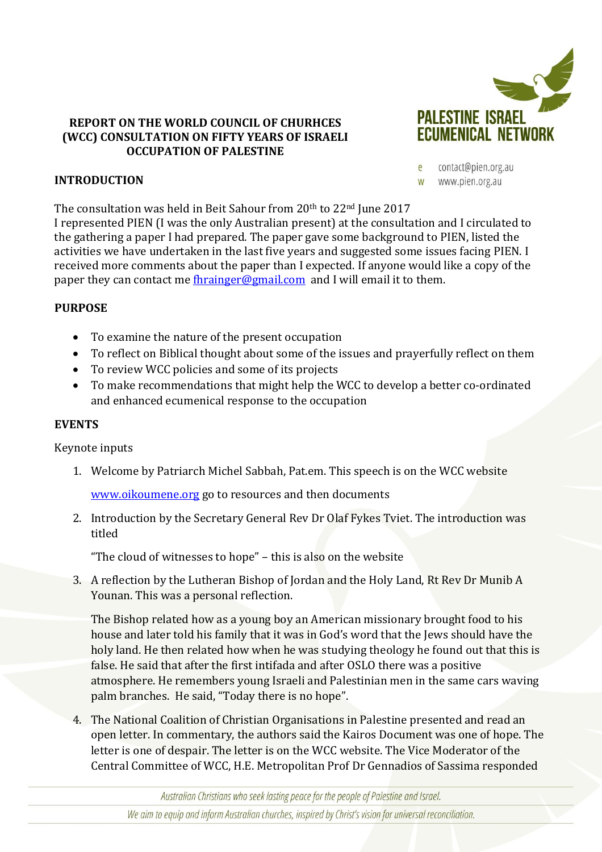

### **REPORT ON THE WORLD COUNCIL OF CHURHCES (WCC) CONSULTATION ON FIFTY YEARS OF ISRAELI OCCUPATION OF PALESTINE**

contact@pien.org.au e www.pien.org.au W

## **INTRODUCTION**

The consultation was held in Beit Sahour from 20th to 22nd June 2017

I represented PIEN (I was the only Australian present) at the consultation and I circulated to the gathering a paper I had prepared. The paper gave some background to PIEN, listed the activities we have undertaken in the last five years and suggested some issues facing PIEN. I received more comments about the paper than I expected. If anyone would like a copy of the paper they can contact me [fhrainger@gmail.com](mailto:fhrainger@gmail.com) and I will email it to them.

# **PURPOSE**

- To examine the nature of the present occupation
- To reflect on Biblical thought about some of the issues and prayerfully reflect on them
- To review WCC policies and some of its projects
- To make recommendations that might help the WCC to develop a better co-ordinated and enhanced ecumenical response to the occupation

#### **EVENTS**

Keynote inputs

1. Welcome by Patriarch Michel Sabbah, Pat.em. This speech is on the WCC website

[www.oikoumene.org](http://www.oikoumene.org/) go to resources and then documents

2. Introduction by the Secretary General Rev Dr Olaf Fykes Tviet. The introduction was titled

"The cloud of witnesses to hope" – this is also on the website

3. A reflection by the Lutheran Bishop of Jordan and the Holy Land, Rt Rev Dr Munib A Younan. This was a personal reflection.

The Bishop related how as a young boy an American missionary brought food to his house and later told his family that it was in God's word that the Jews should have the holy land. He then related how when he was studying theology he found out that this is false. He said that after the first intifada and after OSLO there was a positive atmosphere. He remembers young Israeli and Palestinian men in the same cars waving palm branches. He said, "Today there is no hope".

4. The National Coalition of Christian Organisations in Palestine presented and read an open letter. In commentary, the authors said the Kairos Document was one of hope. The letter is one of despair. The letter is on the WCC website. The Vice Moderator of the Central Committee of WCC, H.E. Metropolitan Prof Dr Gennadios of Sassima responded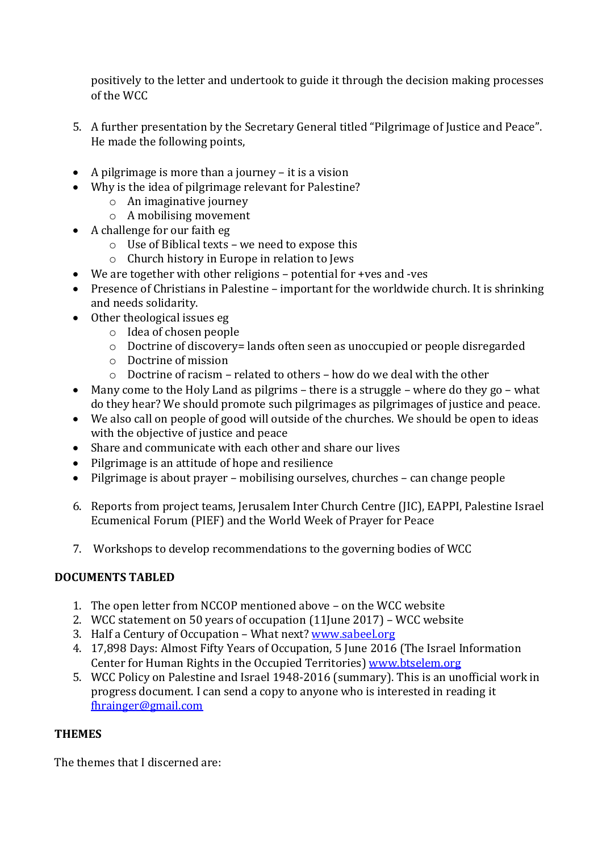positively to the letter and undertook to guide it through the decision making processes of the WCC

- 5. A further presentation by the Secretary General titled "Pilgrimage of Justice and Peace". He made the following points,
- A pilgrimage is more than a journey it is a vision
- Why is the idea of pilgrimage relevant for Palestine?
	- o An imaginative journey
	- o A mobilising movement
- A challenge for our faith eg
	- o Use of Biblical texts we need to expose this
	- o Church history in Europe in relation to Jews
- We are together with other religions potential for +ves and -ves
- Presence of Christians in Palestine important for the worldwide church. It is shrinking and needs solidarity.
- Other theological issues eg
	- o Idea of chosen people
	- o Doctrine of discovery= lands often seen as unoccupied or people disregarded
	- o Doctrine of mission
	- $\circ$  Doctrine of racism related to others how do we deal with the other
- Many come to the Holy Land as pilgrims there is a struggle where do they go what do they hear? We should promote such pilgrimages as pilgrimages of justice and peace.
- We also call on people of good will outside of the churches. We should be open to ideas with the objective of justice and peace
- Share and communicate with each other and share our lives
- Pilgrimage is an attitude of hope and resilience
- Pilgrimage is about prayer mobilising ourselves, churches can change people
- 6. Reports from project teams, Jerusalem Inter Church Centre (JIC), EAPPI, Palestine Israel Ecumenical Forum (PIEF) and the World Week of Prayer for Peace
- 7. Workshops to develop recommendations to the governing bodies of WCC

## **DOCUMENTS TABLED**

- 1. The open letter from NCCOP mentioned above on the WCC website
- 2. WCC statement on 50 years of occupation (11June 2017) WCC website
- 3. Half a Century of Occupation What next? [www.sabeel.org](http://www.sabeel.org/)
- 4. 17,898 Days: Almost Fifty Years of Occupation, 5 June 2016 (The Israel Information Center for Human Rights in the Occupied Territories) [www.btselem.org](http://www.btselem.org/)
- 5. WCC Policy on Palestine and Israel 1948-2016 (summary). This is an unofficial work in progress document. I can send a copy to anyone who is interested in reading it [fhrainger@gmail.com](mailto:fhrainger@gmail.com)

## **THEMES**

The themes that I discerned are: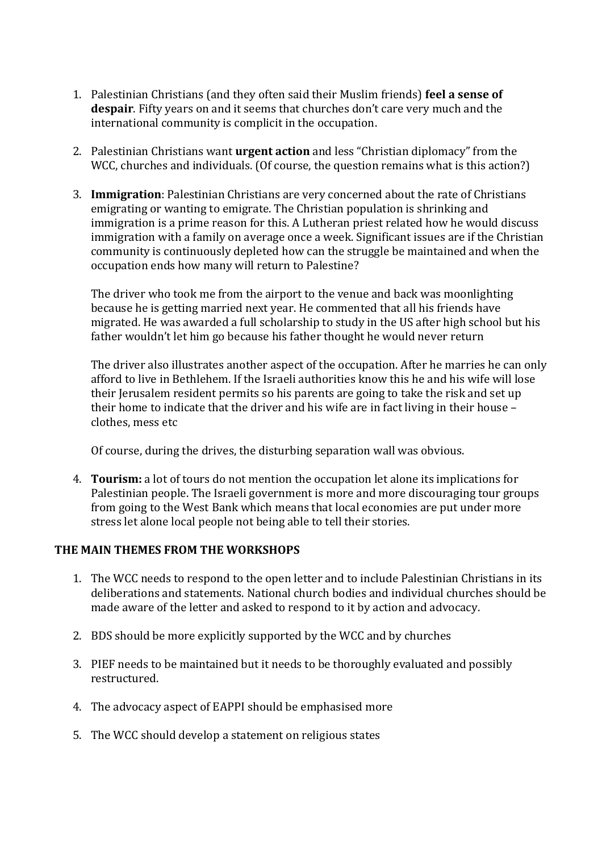- 1. Palestinian Christians (and they often said their Muslim friends) **feel a sense of despair**. Fifty years on and it seems that churches don't care very much and the international community is complicit in the occupation.
- 2. Palestinian Christians want **urgent action** and less "Christian diplomacy" from the WCC, churches and individuals. (Of course, the question remains what is this action?)
- 3. **Immigration**: Palestinian Christians are very concerned about the rate of Christians emigrating or wanting to emigrate. The Christian population is shrinking and immigration is a prime reason for this. A Lutheran priest related how he would discuss immigration with a family on average once a week. Significant issues are if the Christian community is continuously depleted how can the struggle be maintained and when the occupation ends how many will return to Palestine?

The driver who took me from the airport to the venue and back was moonlighting because he is getting married next year. He commented that all his friends have migrated. He was awarded a full scholarship to study in the US after high school but his father wouldn't let him go because his father thought he would never return

The driver also illustrates another aspect of the occupation. After he marries he can only afford to live in Bethlehem. If the Israeli authorities know this he and his wife will lose their Jerusalem resident permits so his parents are going to take the risk and set up their home to indicate that the driver and his wife are in fact living in their house – clothes, mess etc

Of course, during the drives, the disturbing separation wall was obvious.

4. **Tourism:** a lot of tours do not mention the occupation let alone its implications for Palestinian people. The Israeli government is more and more discouraging tour groups from going to the West Bank which means that local economies are put under more stress let alone local people not being able to tell their stories.

## **THE MAIN THEMES FROM THE WORKSHOPS**

- 1. The WCC needs to respond to the open letter and to include Palestinian Christians in its deliberations and statements. National church bodies and individual churches should be made aware of the letter and asked to respond to it by action and advocacy.
- 2. BDS should be more explicitly supported by the WCC and by churches
- 3. PIEF needs to be maintained but it needs to be thoroughly evaluated and possibly restructured.
- 4. The advocacy aspect of EAPPI should be emphasised more
- 5. The WCC should develop a statement on religious states